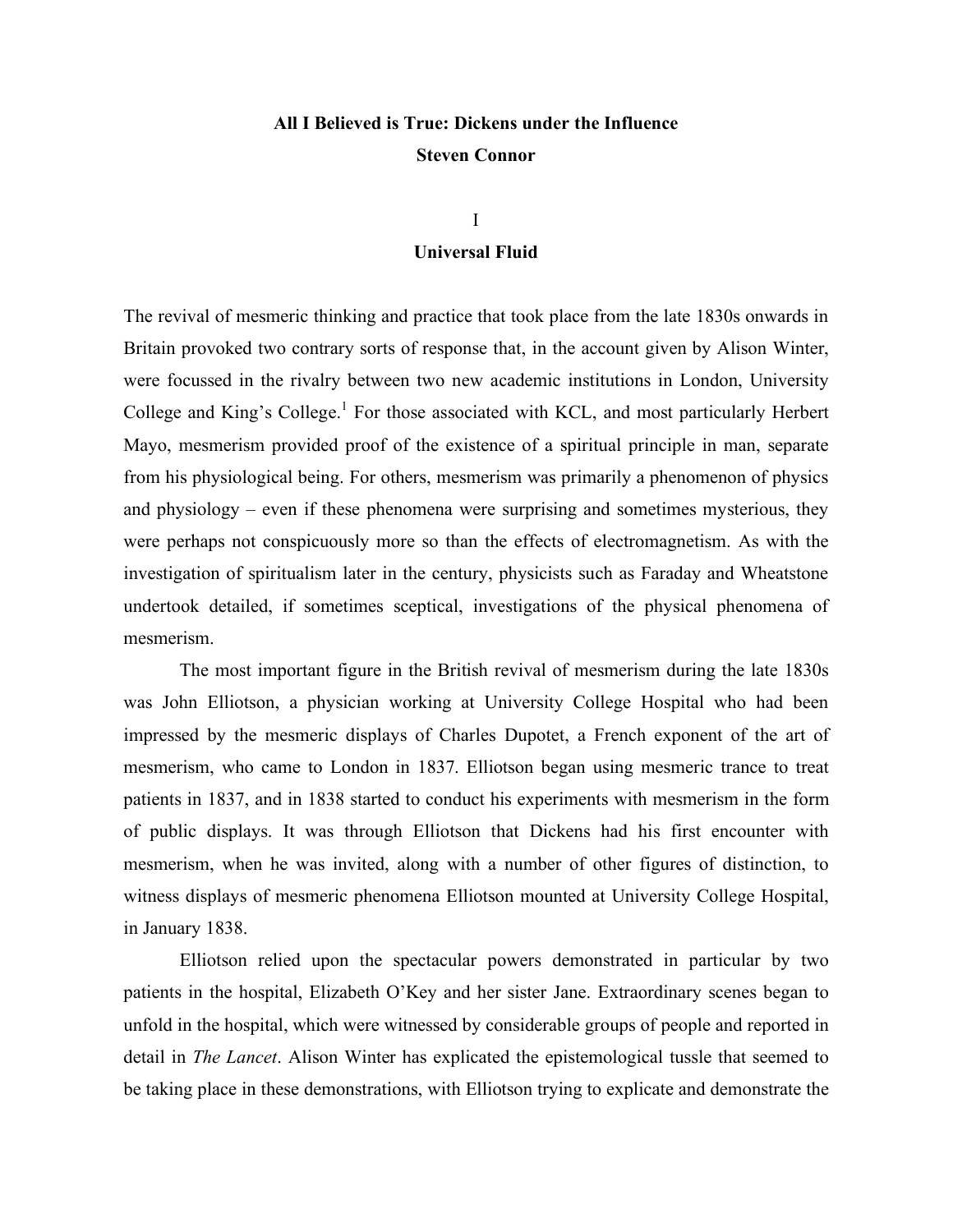# **All I Believed is True: Dickens under the Influence Steven Connor**

# I **Universal Fluid**

The revival of mesmeric thinking and practice that took place from the late 1830s onwards in Britain provoked two contrary sorts of response that, in the account given by Alison Winter, were focussed in the rivalry between two new academic institutions in London, University College and King's College.<sup>1</sup> For those associated with KCL, and most particularly Herbert Mayo, mesmerism provided proof of the existence of a spiritual principle in man, separate from his physiological being. For others, mesmerism was primarily a phenomenon of physics and physiology – even if these phenomena were surprising and sometimes mysterious, they were perhaps not conspicuously more so than the effects of electromagnetism. As with the investigation of spiritualism later in the century, physicists such as Faraday and Wheatstone undertook detailed, if sometimes sceptical, investigations of the physical phenomena of mesmerism.

The most important figure in the British revival of mesmerism during the late 1830s was John Elliotson, a physician working at University College Hospital who had been impressed by the mesmeric displays of Charles Dupotet, a French exponent of the art of mesmerism, who came to London in 1837. Elliotson began using mesmeric trance to treat patients in 1837, and in 1838 started to conduct his experiments with mesmerism in the form of public displays. It was through Elliotson that Dickens had his first encounter with mesmerism, when he was invited, along with a number of other figures of distinction, to witness displays of mesmeric phenomena Elliotson mounted at University College Hospital, in January 1838.

Elliotson relied upon the spectacular powers demonstrated in particular by two patients in the hospital, Elizabeth O'Key and her sister Jane. Extraordinary scenes began to unfold in the hospital, which were witnessed by considerable groups of people and reported in detail in *The Lancet*. Alison Winter has explicated the epistemological tussle that seemed to be taking place in these demonstrations, with Elliotson trying to explicate and demonstrate the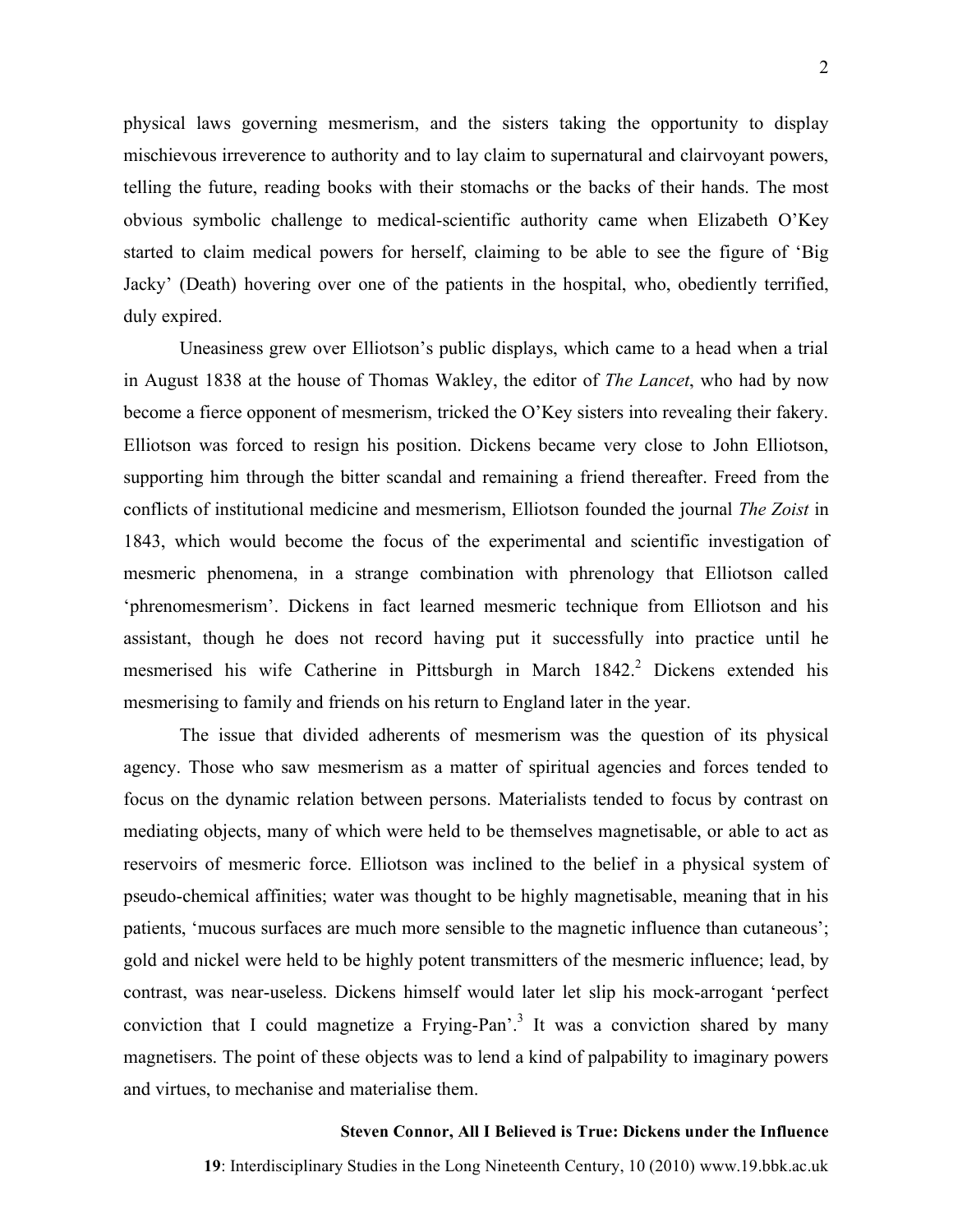physical laws governing mesmerism, and the sisters taking the opportunity to display mischievous irreverence to authority and to lay claim to supernatural and clairvoyant powers, telling the future, reading books with their stomachs or the backs of their hands. The most obvious symbolic challenge to medical-scientific authority came when Elizabeth O'Key started to claim medical powers for herself, claiming to be able to see the figure of 'Big Jacky' (Death) hovering over one of the patients in the hospital, who, obediently terrified, duly expired.

Uneasiness grew over Elliotson's public displays, which came to a head when a trial in August 1838 at the house of Thomas Wakley, the editor of *The Lancet*, who had by now become a fierce opponent of mesmerism, tricked the O'Key sisters into revealing their fakery. Elliotson was forced to resign his position. Dickens became very close to John Elliotson, supporting him through the bitter scandal and remaining a friend thereafter. Freed from the conflicts of institutional medicine and mesmerism, Elliotson founded the journal *The Zoist* in 1843, which would become the focus of the experimental and scientific investigation of mesmeric phenomena, in a strange combination with phrenology that Elliotson called 'phrenomesmerism'. Dickens in fact learned mesmeric technique from Elliotson and his assistant, though he does not record having put it successfully into practice until he mesmerised his wife Catherine in Pittsburgh in March  $1842$ .<sup>2</sup> Dickens extended his mesmerising to family and friends on his return to England later in the year.

The issue that divided adherents of mesmerism was the question of its physical agency. Those who saw mesmerism as a matter of spiritual agencies and forces tended to focus on the dynamic relation between persons. Materialists tended to focus by contrast on mediating objects, many of which were held to be themselves magnetisable, or able to act as reservoirs of mesmeric force. Elliotson was inclined to the belief in a physical system of pseudo-chemical affinities; water was thought to be highly magnetisable, meaning that in his patients, 'mucous surfaces are much more sensible to the magnetic influence than cutaneous'; gold and nickel were held to be highly potent transmitters of the mesmeric influence; lead, by contrast, was near-useless. Dickens himself would later let slip his mock-arrogant 'perfect conviction that I could magnetize a Frying-Pan'. <sup>3</sup> It was a conviction shared by many magnetisers. The point of these objects was to lend a kind of palpability to imaginary powers and virtues, to mechanise and materialise them.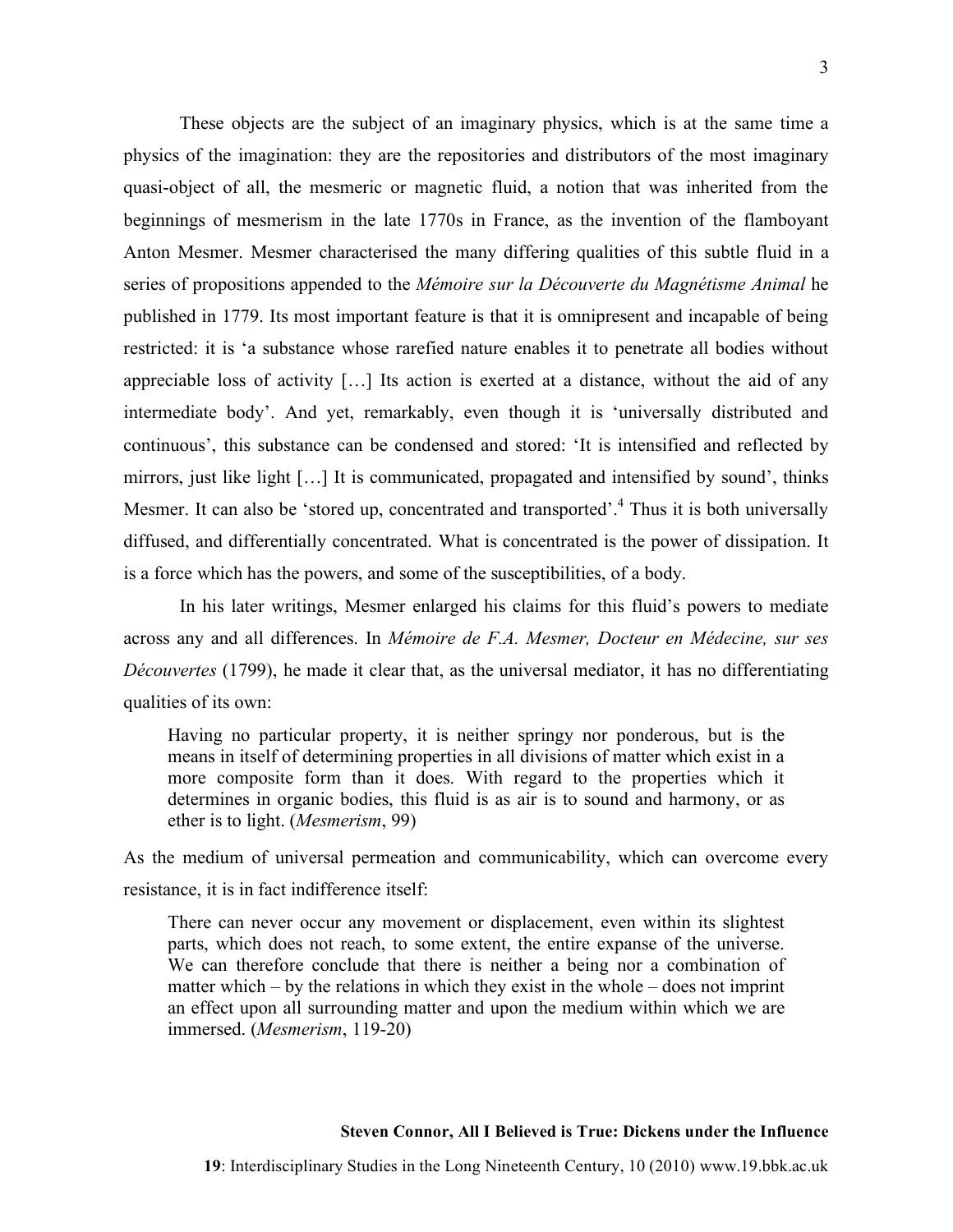These objects are the subject of an imaginary physics, which is at the same time a physics of the imagination: they are the repositories and distributors of the most imaginary quasi-object of all, the mesmeric or magnetic fluid, a notion that was inherited from the beginnings of mesmerism in the late 1770s in France, as the invention of the flamboyant Anton Mesmer. Mesmer characterised the many differing qualities of this subtle fluid in a series of propositions appended to the *Mémoire sur la Découverte du Magnétisme Animal* he published in 1779. Its most important feature is that it is omnipresent and incapable of being restricted: it is 'a substance whose rarefied nature enables it to penetrate all bodies without appreciable loss of activity […] Its action is exerted at a distance, without the aid of any intermediate body'. And yet, remarkably, even though it is 'universally distributed and continuous', this substance can be condensed and stored: 'It is intensified and reflected by mirrors, just like light […] It is communicated, propagated and intensified by sound', thinks Mesmer. It can also be 'stored up, concentrated and transported'.<sup>4</sup> Thus it is both universally diffused, and differentially concentrated. What is concentrated is the power of dissipation. It is a force which has the powers, and some of the susceptibilities, of a body.

In his later writings, Mesmer enlarged his claims for this fluid's powers to mediate across any and all differences. In *Mémoire de F.A. Mesmer, Docteur en Médecine, sur ses Découvertes* (1799), he made it clear that, as the universal mediator, it has no differentiating qualities of its own:

Having no particular property, it is neither springy nor ponderous, but is the means in itself of determining properties in all divisions of matter which exist in a more composite form than it does. With regard to the properties which it determines in organic bodies, this fluid is as air is to sound and harmony, or as ether is to light. (*Mesmerism*, 99)

As the medium of universal permeation and communicability, which can overcome every resistance, it is in fact indifference itself:

There can never occur any movement or displacement, even within its slightest parts, which does not reach, to some extent, the entire expanse of the universe. We can therefore conclude that there is neither a being nor a combination of matter which – by the relations in which they exist in the whole – does not imprint an effect upon all surrounding matter and upon the medium within which we are immersed. (*Mesmerism*, 119-20)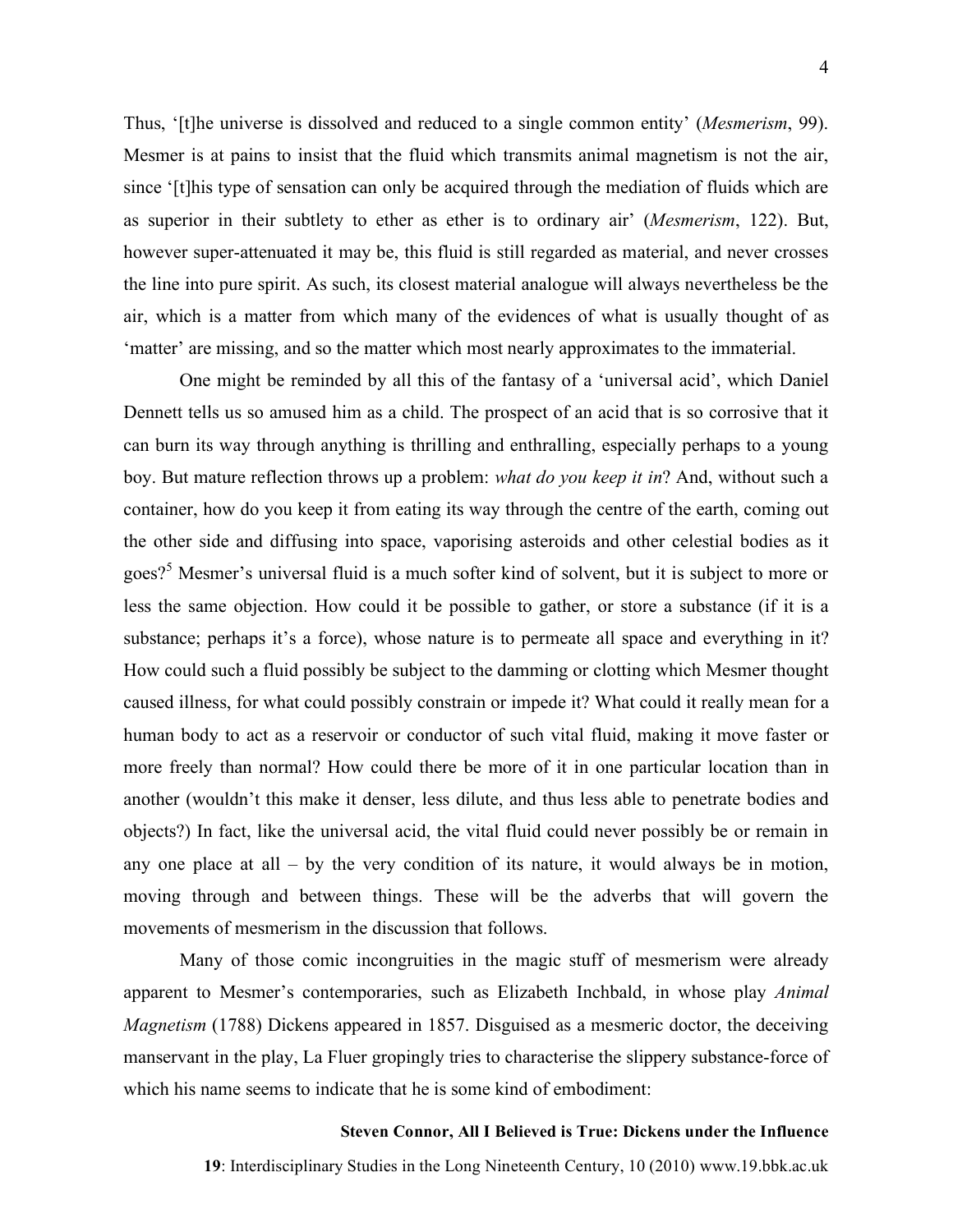Thus, '[t]he universe is dissolved and reduced to a single common entity' (*Mesmerism*, 99). Mesmer is at pains to insist that the fluid which transmits animal magnetism is not the air, since '[t]his type of sensation can only be acquired through the mediation of fluids which are as superior in their subtlety to ether as ether is to ordinary air' (*Mesmerism*, 122). But, however super-attenuated it may be, this fluid is still regarded as material, and never crosses the line into pure spirit. As such, its closest material analogue will always nevertheless be the air, which is a matter from which many of the evidences of what is usually thought of as 'matter' are missing, and so the matter which most nearly approximates to the immaterial.

One might be reminded by all this of the fantasy of a 'universal acid', which Daniel Dennett tells us so amused him as a child. The prospect of an acid that is so corrosive that it can burn its way through anything is thrilling and enthralling, especially perhaps to a young boy. But mature reflection throws up a problem: *what do you keep it in*? And, without such a container, how do you keep it from eating its way through the centre of the earth, coming out the other side and diffusing into space, vaporising asteroids and other celestial bodies as it goes?<sup>5</sup> Mesmer's universal fluid is a much softer kind of solvent, but it is subject to more or less the same objection. How could it be possible to gather, or store a substance (if it is a substance; perhaps it's a force), whose nature is to permeate all space and everything in it? How could such a fluid possibly be subject to the damming or clotting which Mesmer thought caused illness, for what could possibly constrain or impede it? What could it really mean for a human body to act as a reservoir or conductor of such vital fluid, making it move faster or more freely than normal? How could there be more of it in one particular location than in another (wouldn't this make it denser, less dilute, and thus less able to penetrate bodies and objects?) In fact, like the universal acid, the vital fluid could never possibly be or remain in any one place at all  $-$  by the very condition of its nature, it would always be in motion, moving through and between things. These will be the adverbs that will govern the movements of mesmerism in the discussion that follows.

Many of those comic incongruities in the magic stuff of mesmerism were already apparent to Mesmer's contemporaries, such as Elizabeth Inchbald, in whose play *Animal Magnetism* (1788) Dickens appeared in 1857. Disguised as a mesmeric doctor, the deceiving manservant in the play, La Fluer gropingly tries to characterise the slippery substance-force of which his name seems to indicate that he is some kind of embodiment:

# **Steven Connor, All I Believed is True: Dickens under the Influence**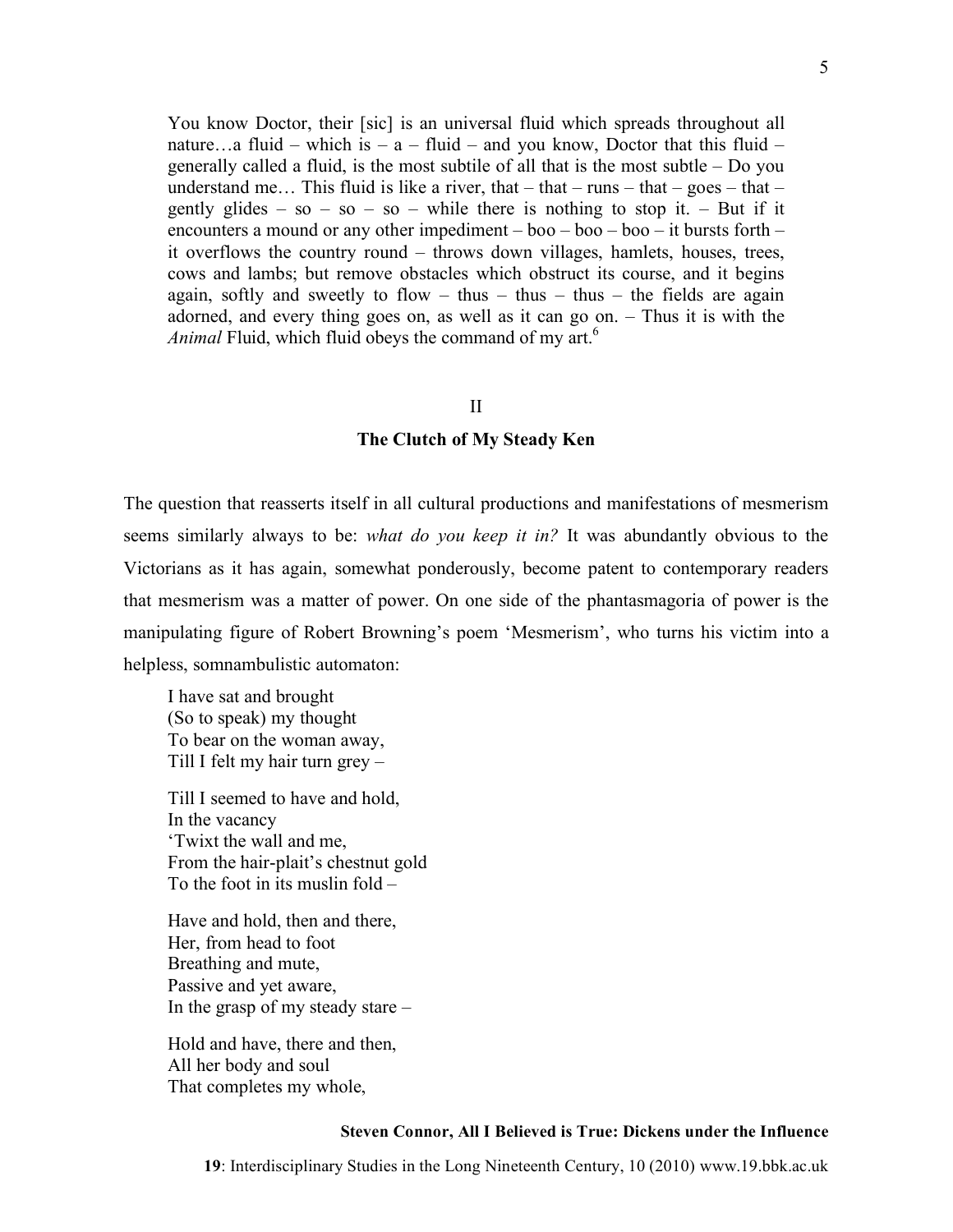You know Doctor, their [sic] is an universal fluid which spreads throughout all nature…a fluid – which is – a – fluid – and you know, Doctor that this fluid – generally called a fluid, is the most subtile of all that is the most subtle – Do you understand me... This fluid is like a river, that – that – runs – that – goes – that – gently glides – so – so – so – while there is nothing to stop it. – But if it encounters a mound or any other impediment – boo – boo – boo – it bursts forth – it overflows the country round – throws down villages, hamlets, houses, trees, cows and lambs; but remove obstacles which obstruct its course, and it begins again, softly and sweetly to flow – thus – thus – thus – the fields are again adorned, and every thing goes on, as well as it can go on. – Thus it is with the *Animal* Fluid, which fluid obeys the command of my art. 6

### II

### **The Clutch of My Steady Ken**

The question that reasserts itself in all cultural productions and manifestations of mesmerism seems similarly always to be: *what do you keep it in?* It was abundantly obvious to the Victorians as it has again, somewhat ponderously, become patent to contemporary readers that mesmerism was a matter of power. On one side of the phantasmagoria of power is the manipulating figure of Robert Browning's poem 'Mesmerism', who turns his victim into a helpless, somnambulistic automaton:

I have sat and brought (So to speak) my thought To bear on the woman away, Till I felt my hair turn grey –

Till I seemed to have and hold, In the vacancy 'Twixt the wall and me, From the hair-plait's chestnut gold To the foot in its muslin fold –

Have and hold, then and there, Her, from head to foot Breathing and mute, Passive and yet aware, In the grasp of my steady stare –

Hold and have, there and then, All her body and soul That completes my whole,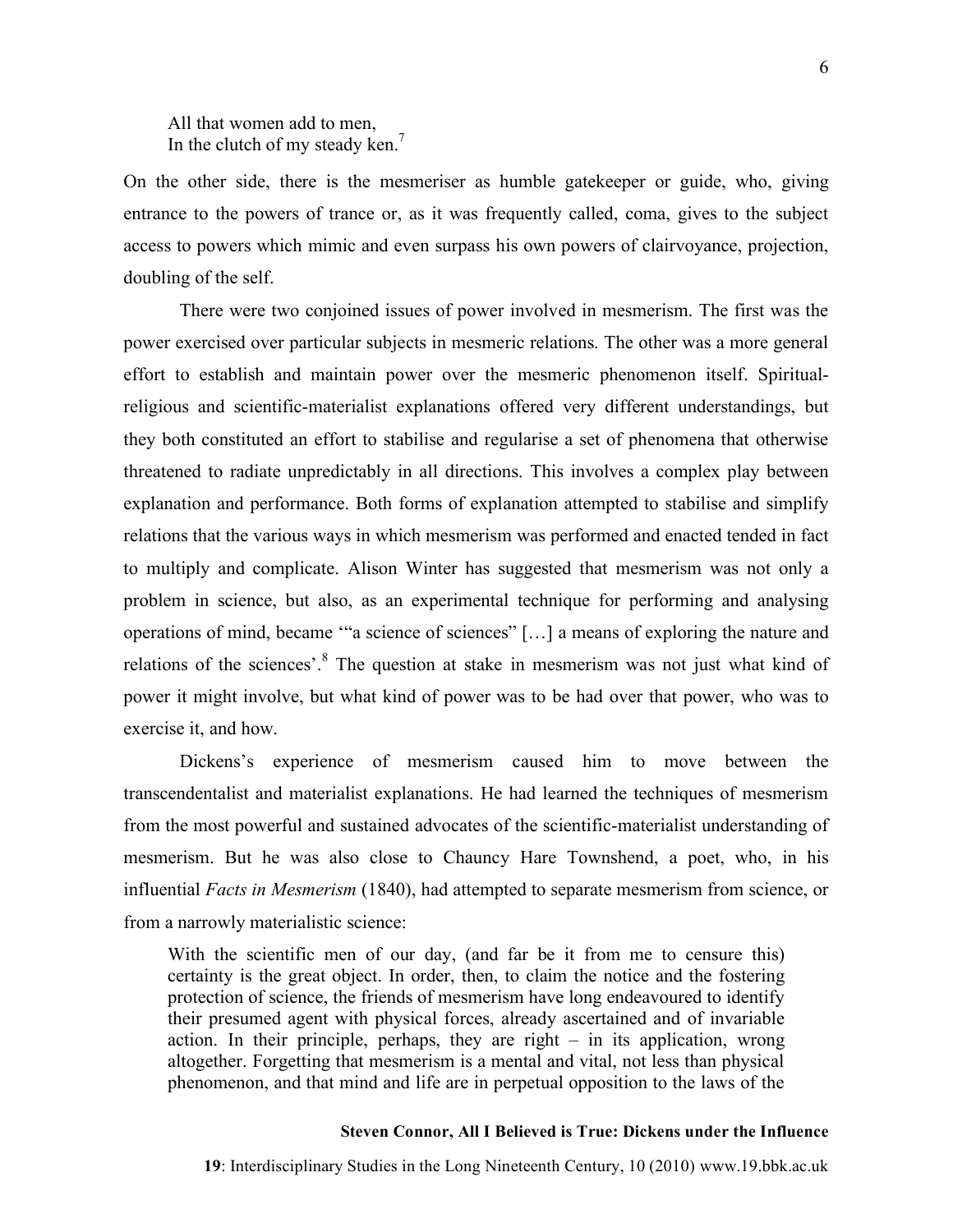All that women add to men, In the clutch of my steady ken.<sup>7</sup>

On the other side, there is the mesmeriser as humble gatekeeper or guide, who, giving entrance to the powers of trance or, as it was frequently called, coma, gives to the subject access to powers which mimic and even surpass his own powers of clairvoyance, projection, doubling of the self.

There were two conjoined issues of power involved in mesmerism. The first was the power exercised over particular subjects in mesmeric relations. The other was a more general effort to establish and maintain power over the mesmeric phenomenon itself. Spiritualreligious and scientific-materialist explanations offered very different understandings, but they both constituted an effort to stabilise and regularise a set of phenomena that otherwise threatened to radiate unpredictably in all directions. This involves a complex play between explanation and performance. Both forms of explanation attempted to stabilise and simplify relations that the various ways in which mesmerism was performed and enacted tended in fact to multiply and complicate. Alison Winter has suggested that mesmerism was not only a problem in science, but also, as an experimental technique for performing and analysing operations of mind, became '"a science of sciences" […] a means of exploring the nature and relations of the sciences'.<sup>8</sup> The question at stake in mesmerism was not just what kind of power it might involve, but what kind of power was to be had over that power, who was to exercise it, and how.

Dickens's experience of mesmerism caused him to move between the transcendentalist and materialist explanations. He had learned the techniques of mesmerism from the most powerful and sustained advocates of the scientific-materialist understanding of mesmerism. But he was also close to Chauncy Hare Townshend, a poet, who, in his influential *Facts in Mesmerism* (1840), had attempted to separate mesmerism from science, or from a narrowly materialistic science:

With the scientific men of our day, (and far be it from me to censure this) certainty is the great object. In order, then, to claim the notice and the fostering protection of science, the friends of mesmerism have long endeavoured to identify their presumed agent with physical forces, already ascertained and of invariable action. In their principle, perhaps, they are right – in its application, wrong altogether. Forgetting that mesmerism is a mental and vital, not less than physical phenomenon, and that mind and life are in perpetual opposition to the laws of the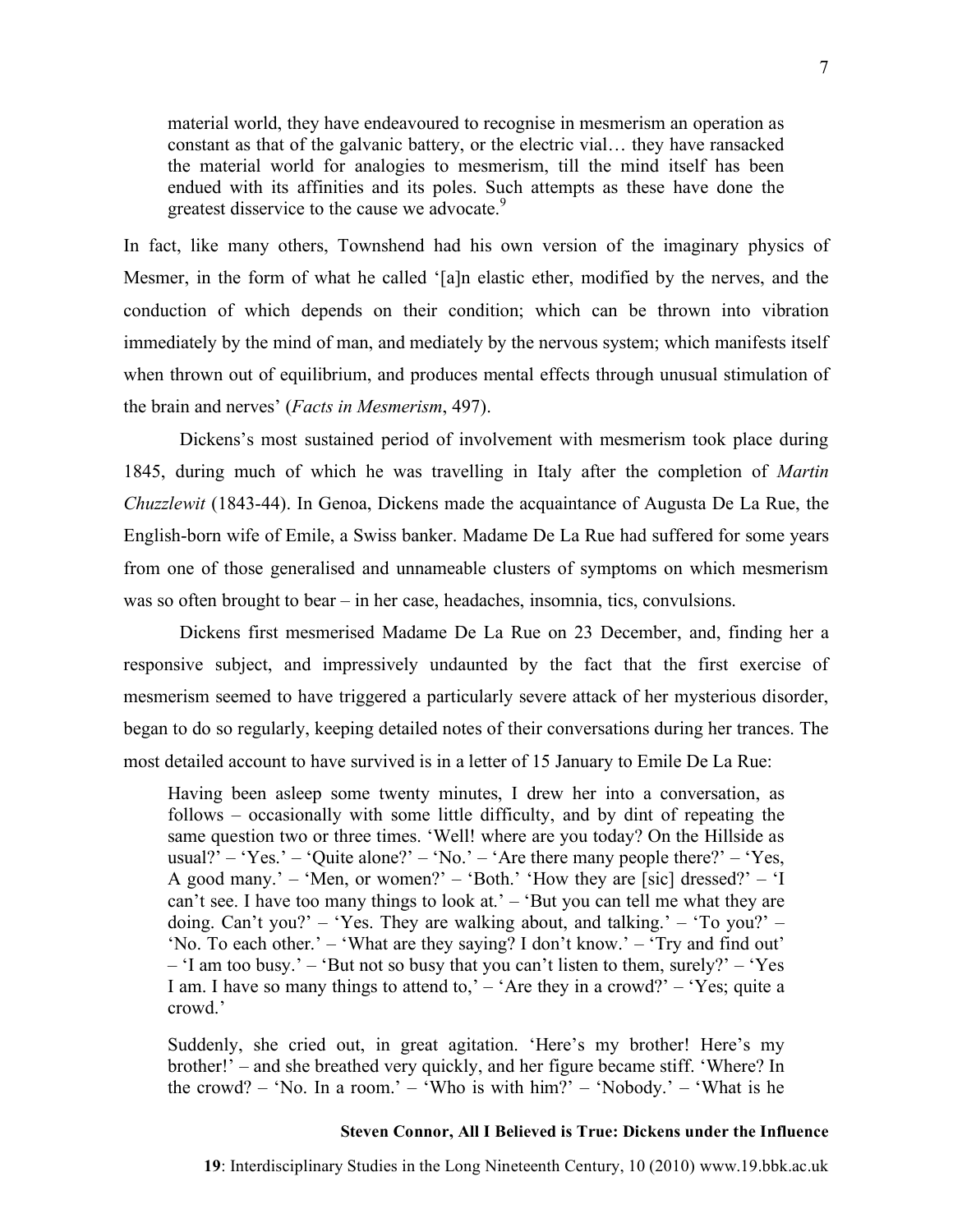material world, they have endeavoured to recognise in mesmerism an operation as constant as that of the galvanic battery, or the electric vial… they have ransacked the material world for analogies to mesmerism, till the mind itself has been endued with its affinities and its poles. Such attempts as these have done the greatest disservice to the cause we advocate.<sup>9</sup>

In fact, like many others, Townshend had his own version of the imaginary physics of Mesmer, in the form of what he called '[a]n elastic ether, modified by the nerves, and the conduction of which depends on their condition; which can be thrown into vibration immediately by the mind of man, and mediately by the nervous system; which manifests itself when thrown out of equilibrium, and produces mental effects through unusual stimulation of the brain and nerves' (*Facts in Mesmerism*, 497).

Dickens's most sustained period of involvement with mesmerism took place during 1845, during much of which he was travelling in Italy after the completion of *Martin Chuzzlewit* (1843-44). In Genoa, Dickens made the acquaintance of Augusta De La Rue, the English-born wife of Emile, a Swiss banker. Madame De La Rue had suffered for some years from one of those generalised and unnameable clusters of symptoms on which mesmerism was so often brought to bear – in her case, headaches, insomnia, tics, convulsions.

Dickens first mesmerised Madame De La Rue on 23 December, and, finding her a responsive subject, and impressively undaunted by the fact that the first exercise of mesmerism seemed to have triggered a particularly severe attack of her mysterious disorder, began to do so regularly, keeping detailed notes of their conversations during her trances. The most detailed account to have survived is in a letter of 15 January to Emile De La Rue:

Having been asleep some twenty minutes, I drew her into a conversation, as follows – occasionally with some little difficulty, and by dint of repeating the same question two or three times. 'Well! where are you today? On the Hillside as usual?' – 'Yes.' – 'Quite alone?' – 'No.' – 'Are there many people there?' – 'Yes. A good many.' – 'Men, or women?' – 'Both.' 'How they are [sic] dressed?' – 'I can't see. I have too many things to look at.' – 'But you can tell me what they are doing. Can't you?' – 'Yes. They are walking about, and talking.' – 'To you?' – 'No. To each other.' – 'What are they saying? I don't know.' – 'Try and find out' – 'I am too busy.' – 'But not so busy that you can't listen to them, surely?' – 'Yes I am. I have so many things to attend to,'  $-$  'Are they in a crowd?'  $-$  'Yes; quite a crowd.'

Suddenly, she cried out, in great agitation. 'Here's my brother! Here's my brother!' – and she breathed very quickly, and her figure became stiff. 'Where? In the crowd? – 'No. In a room.' – 'Who is with him?' – 'Nobody.' – 'What is he

### **Steven Connor, All I Believed is True: Dickens under the Influence**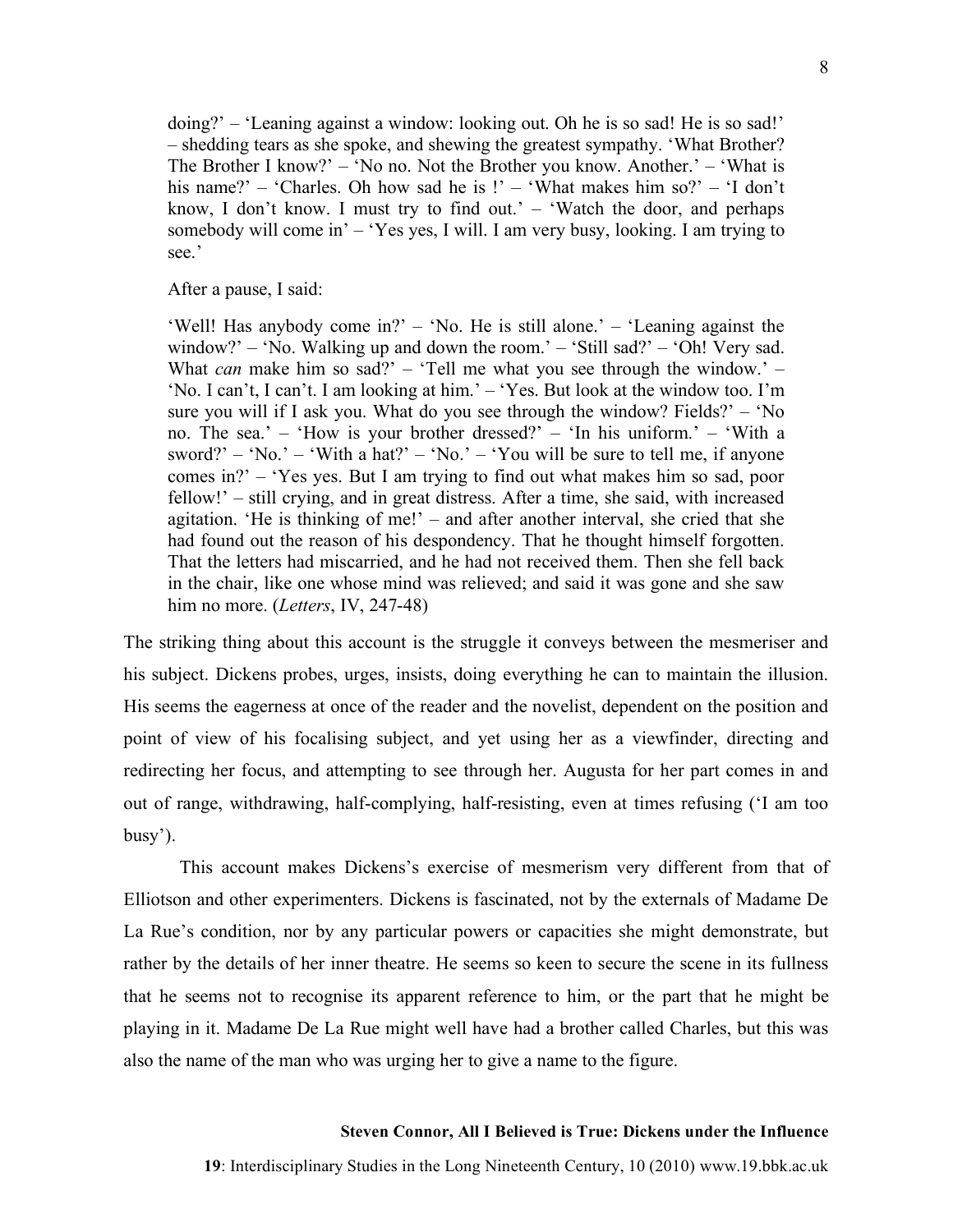doing?' – 'Leaning against a window: looking out. Oh he is so sad! He is so sad!' – shedding tears as she spoke, and shewing the greatest sympathy. 'What Brother? The Brother I know?' – 'No no. Not the Brother you know. Another.' – 'What is his name?' – 'Charles. Oh how sad he is !' – 'What makes him so?' – 'I don't know, I don't know. I must try to find out.'  $-$  'Watch the door, and perhaps somebody will come in' – 'Yes yes, I will. I am very busy, looking. I am trying to see<sup>'</sup>

After a pause, I said:

'Well! Has anybody come in?' – 'No. He is still alone.' – 'Leaning against the window?' – 'No. Walking up and down the room.' – 'Still sad?' – 'Oh! Very sad. What *can* make him so sad?' – 'Tell me what you see through the window.' – 'No. I can't, I can't. I am looking at him.' – 'Yes. But look at the window too. I'm sure you will if I ask you. What do you see through the window? Fields?' – 'No no. The sea.' – 'How is your brother dressed?' – 'In his uniform.' – 'With a sword?' – 'No.' – 'With a hat?' – 'No.' – 'You will be sure to tell me, if anyone comes in?' – 'Yes yes. But I am trying to find out what makes him so sad, poor fellow!' – still crying, and in great distress. After a time, she said, with increased agitation. 'He is thinking of me!' – and after another interval, she cried that she had found out the reason of his despondency. That he thought himself forgotten. That the letters had miscarried, and he had not received them. Then she fell back in the chair, like one whose mind was relieved; and said it was gone and she saw him no more. (*Letters*, IV, 247-48)

The striking thing about this account is the struggle it conveys between the mesmeriser and his subject. Dickens probes, urges, insists, doing everything he can to maintain the illusion. His seems the eagerness at once of the reader and the novelist, dependent on the position and point of view of his focalising subject, and yet using her as a viewfinder, directing and redirecting her focus, and attempting to see through her. Augusta for her part comes in and out of range, withdrawing, half-complying, half-resisting, even at times refusing ('I am too busy').

This account makes Dickens's exercise of mesmerism very different from that of Elliotson and other experimenters. Dickens is fascinated, not by the externals of Madame De La Rue's condition, nor by any particular powers or capacities she might demonstrate, but rather by the details of her inner theatre. He seems so keen to secure the scene in its fullness that he seems not to recognise its apparent reference to him, or the part that he might be playing in it. Madame De La Rue might well have had a brother called Charles, but this was also the name of the man who was urging her to give a name to the figure.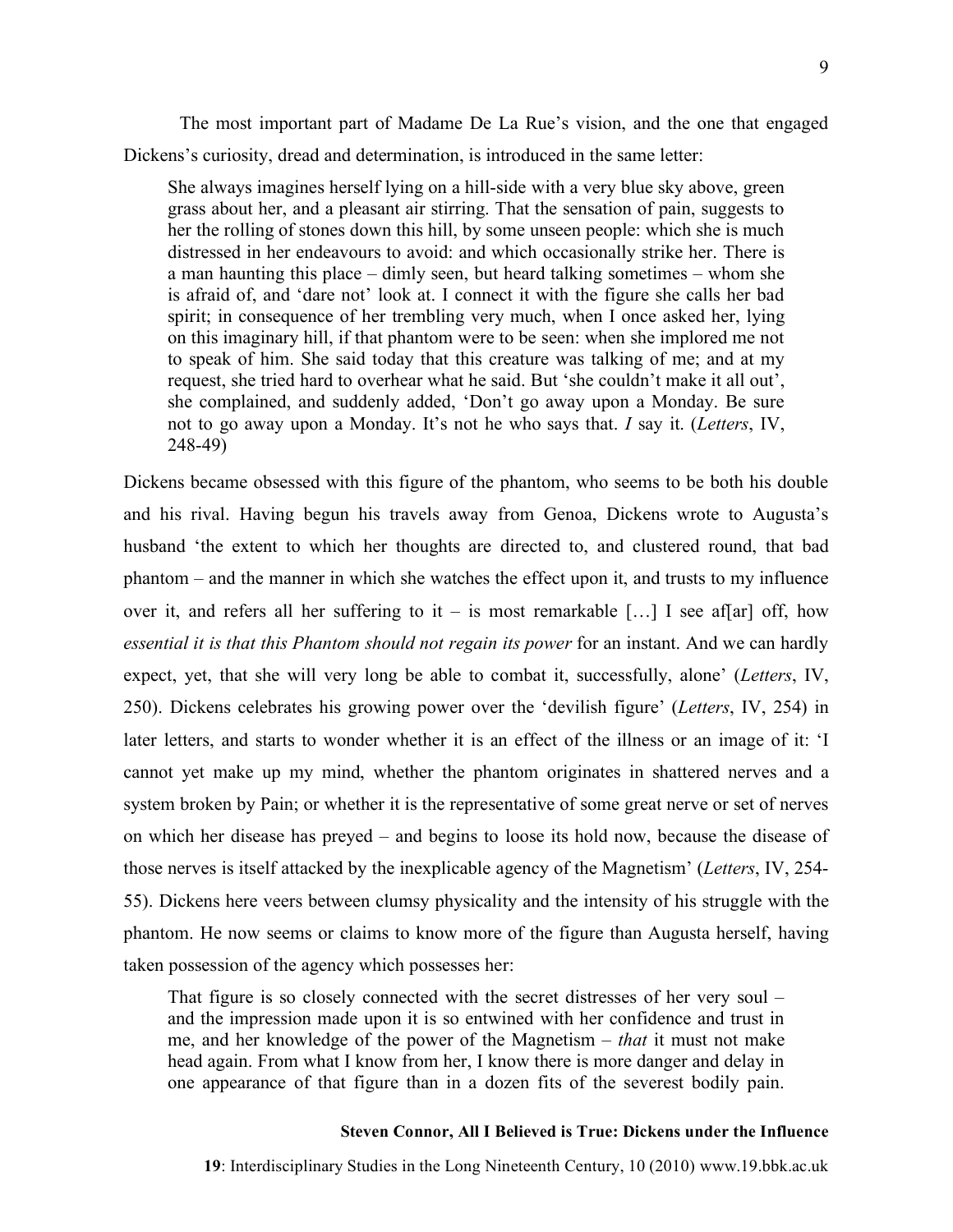The most important part of Madame De La Rue's vision, and the one that engaged Dickens's curiosity, dread and determination, is introduced in the same letter:

She always imagines herself lying on a hill-side with a very blue sky above, green grass about her, and a pleasant air stirring. That the sensation of pain, suggests to her the rolling of stones down this hill, by some unseen people: which she is much distressed in her endeavours to avoid: and which occasionally strike her. There is a man haunting this place – dimly seen, but heard talking sometimes – whom she is afraid of, and 'dare not' look at. I connect it with the figure she calls her bad spirit; in consequence of her trembling very much, when I once asked her, lying on this imaginary hill, if that phantom were to be seen: when she implored me not to speak of him. She said today that this creature was talking of me; and at my request, she tried hard to overhear what he said. But 'she couldn't make it all out', she complained, and suddenly added, 'Don't go away upon a Monday. Be sure not to go away upon a Monday. It's not he who says that. *I* say it. (*Letters*, IV, 248-49)

Dickens became obsessed with this figure of the phantom, who seems to be both his double and his rival. Having begun his travels away from Genoa, Dickens wrote to Augusta's husband 'the extent to which her thoughts are directed to, and clustered round, that bad phantom – and the manner in which she watches the effect upon it, and trusts to my influence over it, and refers all her suffering to it – is most remarkable  $[\dots]$  I see affar off, how *essential it is that this Phantom should not regain its power* for an instant. And we can hardly expect, yet, that she will very long be able to combat it, successfully, alone' (*Letters*, IV, 250). Dickens celebrates his growing power over the 'devilish figure' (*Letters*, IV, 254) in later letters, and starts to wonder whether it is an effect of the illness or an image of it: 'I cannot yet make up my mind, whether the phantom originates in shattered nerves and a system broken by Pain; or whether it is the representative of some great nerve or set of nerves on which her disease has preyed – and begins to loose its hold now, because the disease of those nerves is itself attacked by the inexplicable agency of the Magnetism' (*Letters*, IV, 254- 55). Dickens here veers between clumsy physicality and the intensity of his struggle with the phantom. He now seems or claims to know more of the figure than Augusta herself, having taken possession of the agency which possesses her:

That figure is so closely connected with the secret distresses of her very soul – and the impression made upon it is so entwined with her confidence and trust in me, and her knowledge of the power of the Magnetism – *that* it must not make head again. From what I know from her, I know there is more danger and delay in one appearance of that figure than in a dozen fits of the severest bodily pain.

# **Steven Connor, All I Believed is True: Dickens under the Influence**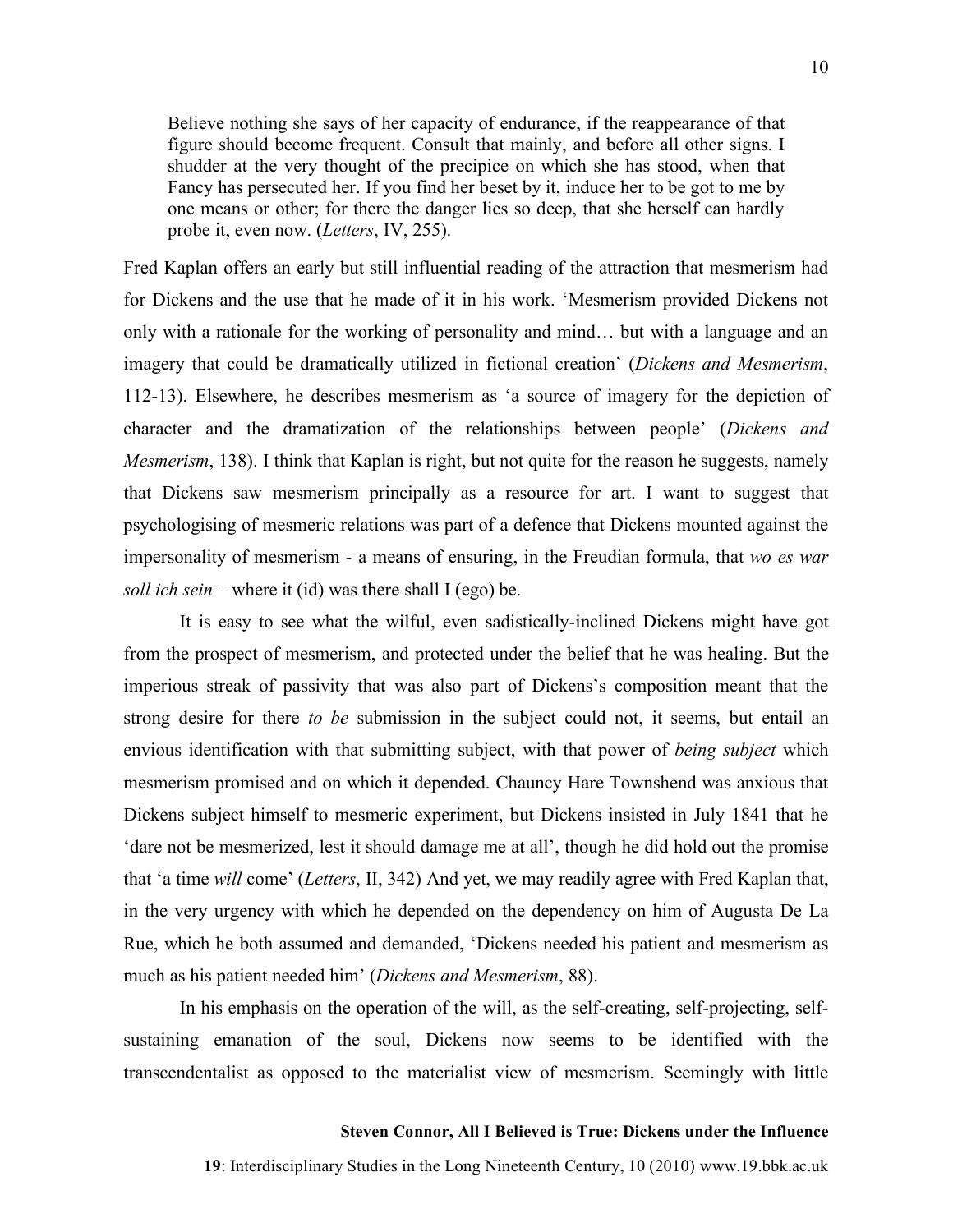Believe nothing she says of her capacity of endurance, if the reappearance of that figure should become frequent. Consult that mainly, and before all other signs. I shudder at the very thought of the precipice on which she has stood, when that Fancy has persecuted her. If you find her beset by it, induce her to be got to me by one means or other; for there the danger lies so deep, that she herself can hardly probe it, even now. (*Letters*, IV, 255).

Fred Kaplan offers an early but still influential reading of the attraction that mesmerism had for Dickens and the use that he made of it in his work. 'Mesmerism provided Dickens not only with a rationale for the working of personality and mind… but with a language and an imagery that could be dramatically utilized in fictional creation' (*Dickens and Mesmerism*, 112-13). Elsewhere, he describes mesmerism as 'a source of imagery for the depiction of character and the dramatization of the relationships between people' (*Dickens and Mesmerism*, 138). I think that Kaplan is right, but not quite for the reason he suggests, namely that Dickens saw mesmerism principally as a resource for art. I want to suggest that psychologising of mesmeric relations was part of a defence that Dickens mounted against the impersonality of mesmerism - a means of ensuring, in the Freudian formula, that *wo es war soll ich sein* – where it (id) was there shall I (ego) be.

It is easy to see what the wilful, even sadistically-inclined Dickens might have got from the prospect of mesmerism, and protected under the belief that he was healing. But the imperious streak of passivity that was also part of Dickens's composition meant that the strong desire for there *to be* submission in the subject could not, it seems, but entail an envious identification with that submitting subject, with that power of *being subject* which mesmerism promised and on which it depended. Chauncy Hare Townshend was anxious that Dickens subject himself to mesmeric experiment, but Dickens insisted in July 1841 that he 'dare not be mesmerized, lest it should damage me at all', though he did hold out the promise that 'a time *will* come' (*Letters*, II, 342) And yet, we may readily agree with Fred Kaplan that, in the very urgency with which he depended on the dependency on him of Augusta De La Rue, which he both assumed and demanded, 'Dickens needed his patient and mesmerism as much as his patient needed him' (*Dickens and Mesmerism*, 88).

In his emphasis on the operation of the will, as the self-creating, self-projecting, selfsustaining emanation of the soul, Dickens now seems to be identified with the transcendentalist as opposed to the materialist view of mesmerism. Seemingly with little

# **Steven Connor, All I Believed is True: Dickens under the Influence**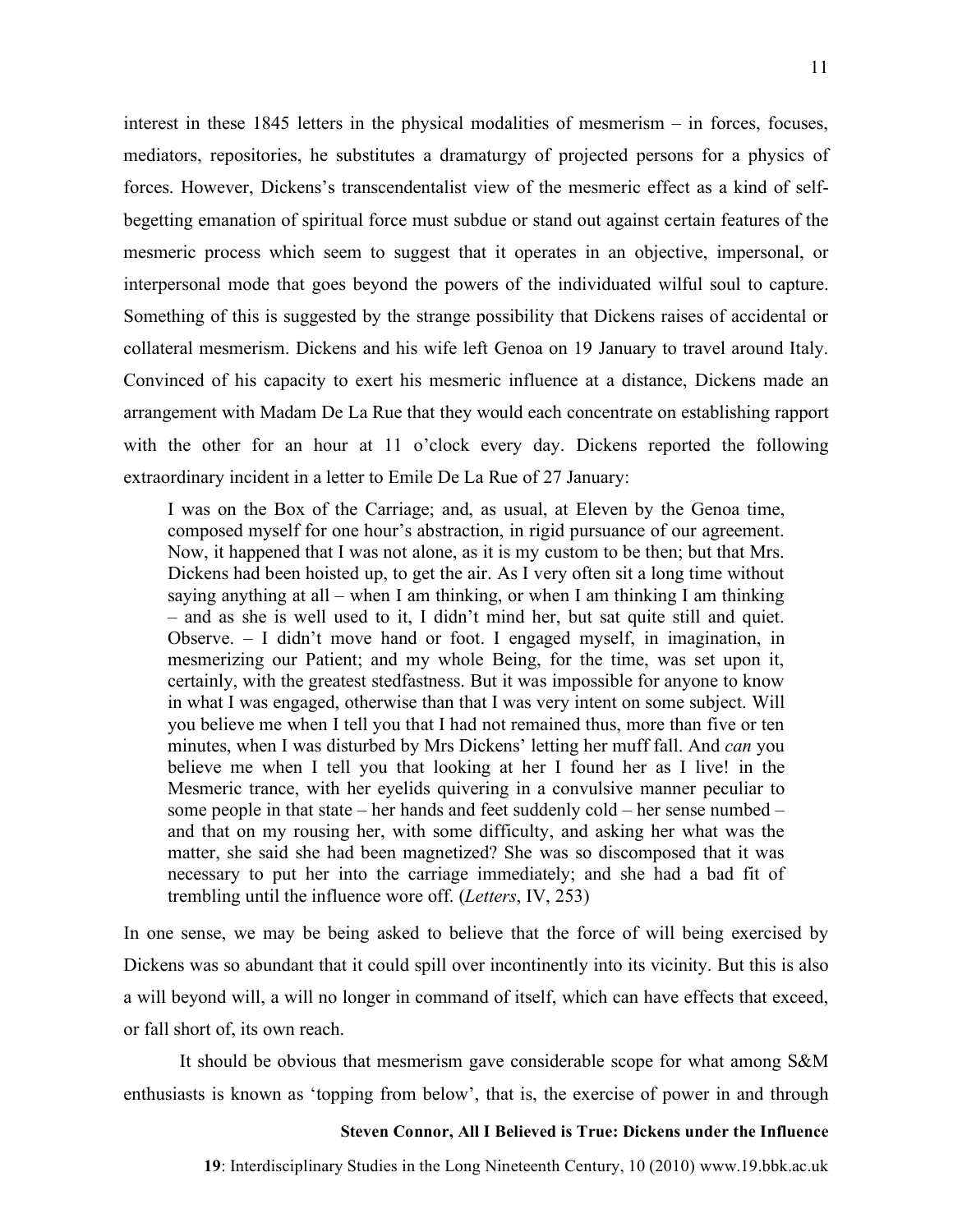interest in these 1845 letters in the physical modalities of mesmerism – in forces, focuses, mediators, repositories, he substitutes a dramaturgy of projected persons for a physics of forces. However, Dickens's transcendentalist view of the mesmeric effect as a kind of selfbegetting emanation of spiritual force must subdue or stand out against certain features of the mesmeric process which seem to suggest that it operates in an objective, impersonal, or interpersonal mode that goes beyond the powers of the individuated wilful soul to capture. Something of this is suggested by the strange possibility that Dickens raises of accidental or collateral mesmerism. Dickens and his wife left Genoa on 19 January to travel around Italy. Convinced of his capacity to exert his mesmeric influence at a distance, Dickens made an arrangement with Madam De La Rue that they would each concentrate on establishing rapport with the other for an hour at 11 o'clock every day. Dickens reported the following extraordinary incident in a letter to Emile De La Rue of 27 January:

I was on the Box of the Carriage; and, as usual, at Eleven by the Genoa time, composed myself for one hour's abstraction, in rigid pursuance of our agreement. Now, it happened that I was not alone, as it is my custom to be then; but that Mrs. Dickens had been hoisted up, to get the air. As I very often sit a long time without saying anything at all – when I am thinking, or when I am thinking I am thinking – and as she is well used to it, I didn't mind her, but sat quite still and quiet. Observe. – I didn't move hand or foot. I engaged myself, in imagination, in mesmerizing our Patient; and my whole Being, for the time, was set upon it, certainly, with the greatest stedfastness. But it was impossible for anyone to know in what I was engaged, otherwise than that I was very intent on some subject. Will you believe me when I tell you that I had not remained thus, more than five or ten minutes, when I was disturbed by Mrs Dickens' letting her muff fall. And *can* you believe me when I tell you that looking at her I found her as I live! in the Mesmeric trance, with her eyelids quivering in a convulsive manner peculiar to some people in that state – her hands and feet suddenly cold – her sense numbed – and that on my rousing her, with some difficulty, and asking her what was the matter, she said she had been magnetized? She was so discomposed that it was necessary to put her into the carriage immediately; and she had a bad fit of trembling until the influence wore off. (*Letters*, IV, 253)

In one sense, we may be being asked to believe that the force of will being exercised by Dickens was so abundant that it could spill over incontinently into its vicinity. But this is also a will beyond will, a will no longer in command of itself, which can have effects that exceed, or fall short of, its own reach.

It should be obvious that mesmerism gave considerable scope for what among S&M enthusiasts is known as 'topping from below', that is, the exercise of power in and through

# **Steven Connor, All I Believed is True: Dickens under the Influence**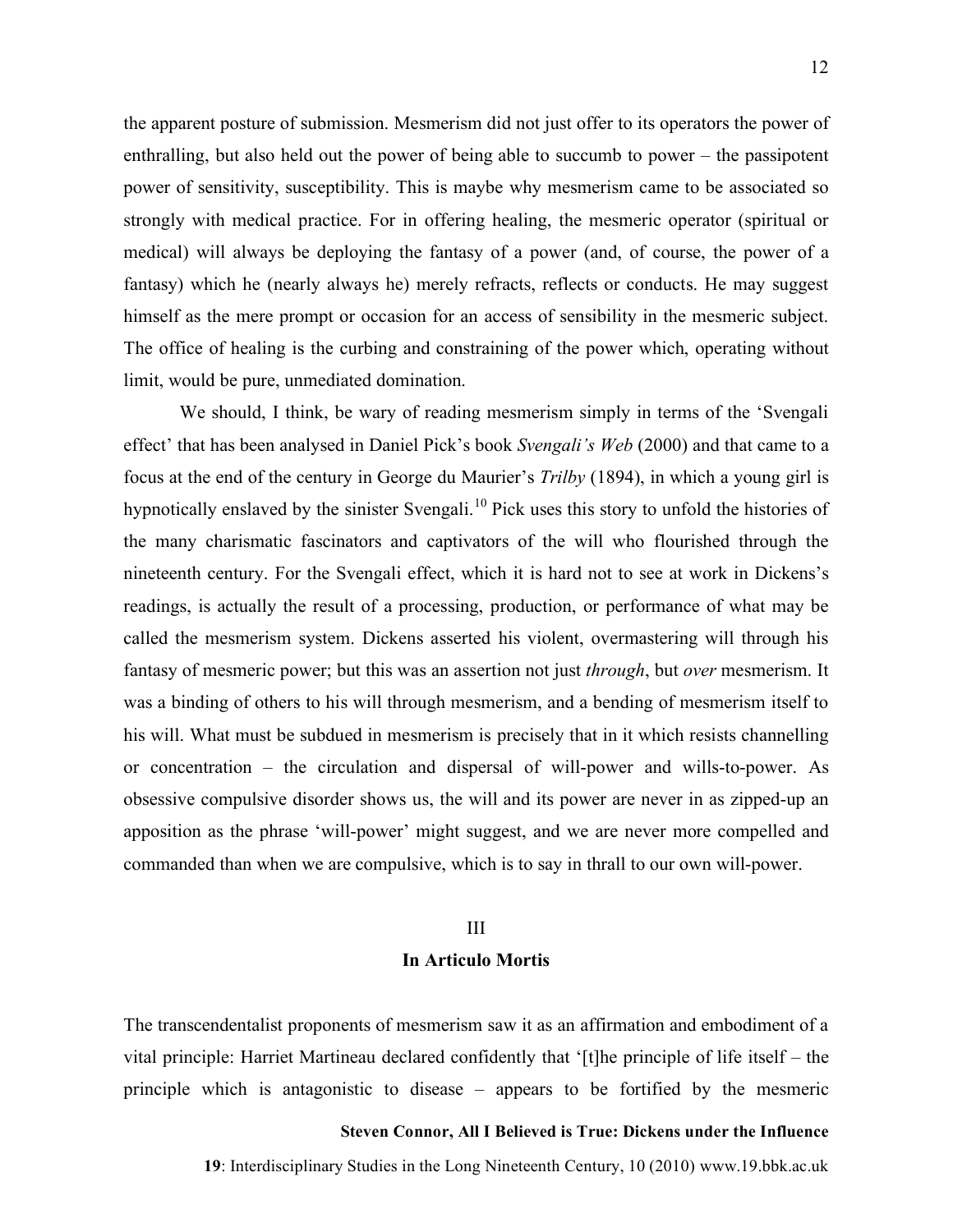the apparent posture of submission. Mesmerism did not just offer to its operators the power of enthralling, but also held out the power of being able to succumb to power – the passipotent power of sensitivity, susceptibility. This is maybe why mesmerism came to be associated so strongly with medical practice. For in offering healing, the mesmeric operator (spiritual or medical) will always be deploying the fantasy of a power (and, of course, the power of a fantasy) which he (nearly always he) merely refracts, reflects or conducts. He may suggest himself as the mere prompt or occasion for an access of sensibility in the mesmeric subject. The office of healing is the curbing and constraining of the power which, operating without limit, would be pure, unmediated domination.

We should, I think, be wary of reading mesmerism simply in terms of the 'Svengali effect' that has been analysed in Daniel Pick's book *Svengali's Web* (2000) and that came to a focus at the end of the century in George du Maurier's *Trilby* (1894), in which a young girl is hypnotically enslaved by the sinister Svengali.<sup>10</sup> Pick uses this story to unfold the histories of the many charismatic fascinators and captivators of the will who flourished through the nineteenth century. For the Svengali effect, which it is hard not to see at work in Dickens's readings, is actually the result of a processing, production, or performance of what may be called the mesmerism system. Dickens asserted his violent, overmastering will through his fantasy of mesmeric power; but this was an assertion not just *through*, but *over* mesmerism. It was a binding of others to his will through mesmerism, and a bending of mesmerism itself to his will. What must be subdued in mesmerism is precisely that in it which resists channelling or concentration – the circulation and dispersal of will-power and wills-to-power. As obsessive compulsive disorder shows us, the will and its power are never in as zipped-up an apposition as the phrase 'will-power' might suggest, and we are never more compelled and commanded than when we are compulsive, which is to say in thrall to our own will-power.

# III

# **In Articulo Mortis**

The transcendentalist proponents of mesmerism saw it as an affirmation and embodiment of a vital principle: Harriet Martineau declared confidently that '[t]he principle of life itself – the principle which is antagonistic to disease – appears to be fortified by the mesmeric

# **Steven Connor, All I Believed is True: Dickens under the Influence**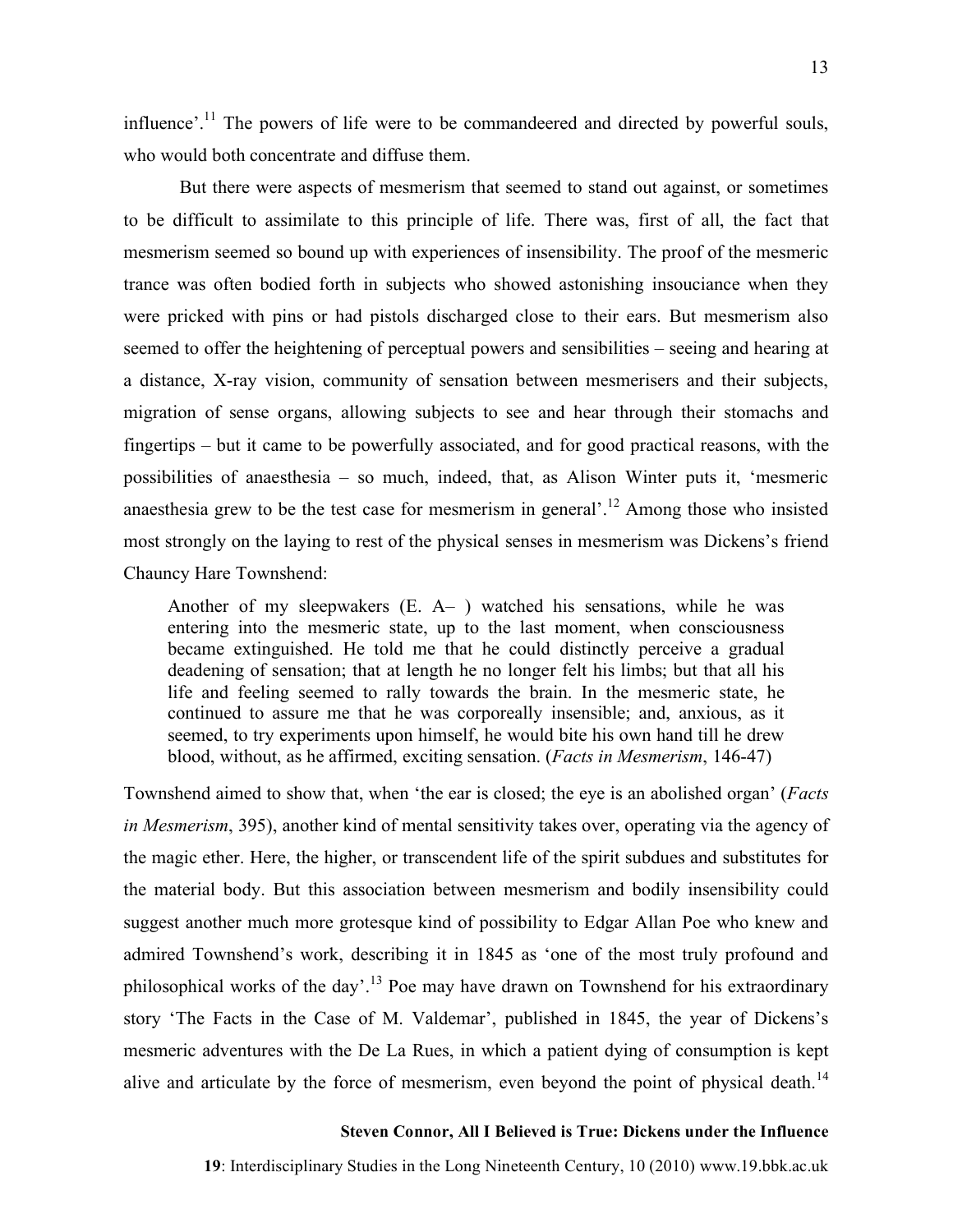influence'.<sup>11</sup> The powers of life were to be commandeered and directed by powerful souls, who would both concentrate and diffuse them.

But there were aspects of mesmerism that seemed to stand out against, or sometimes to be difficult to assimilate to this principle of life. There was, first of all, the fact that mesmerism seemed so bound up with experiences of insensibility. The proof of the mesmeric trance was often bodied forth in subjects who showed astonishing insouciance when they were pricked with pins or had pistols discharged close to their ears. But mesmerism also seemed to offer the heightening of perceptual powers and sensibilities – seeing and hearing at a distance, X-ray vision, community of sensation between mesmerisers and their subjects, migration of sense organs, allowing subjects to see and hear through their stomachs and fingertips – but it came to be powerfully associated, and for good practical reasons, with the possibilities of anaesthesia – so much, indeed, that, as Alison Winter puts it, 'mesmeric anaesthesia grew to be the test case for mesmerism in general'.<sup>12</sup> Among those who insisted most strongly on the laying to rest of the physical senses in mesmerism was Dickens's friend Chauncy Hare Townshend:

Another of my sleepwakers (E. A– ) watched his sensations, while he was entering into the mesmeric state, up to the last moment, when consciousness became extinguished. He told me that he could distinctly perceive a gradual deadening of sensation; that at length he no longer felt his limbs; but that all his life and feeling seemed to rally towards the brain. In the mesmeric state, he continued to assure me that he was corporeally insensible; and, anxious, as it seemed, to try experiments upon himself, he would bite his own hand till he drew blood, without, as he affirmed, exciting sensation. (*Facts in Mesmerism*, 146-47)

Townshend aimed to show that, when 'the ear is closed; the eye is an abolished organ' (*Facts in Mesmerism*, 395), another kind of mental sensitivity takes over, operating via the agency of the magic ether. Here, the higher, or transcendent life of the spirit subdues and substitutes for the material body. But this association between mesmerism and bodily insensibility could suggest another much more grotesque kind of possibility to Edgar Allan Poe who knew and admired Townshend's work, describing it in 1845 as 'one of the most truly profound and philosophical works of the day'.<sup>13</sup> Poe may have drawn on Townshend for his extraordinary story 'The Facts in the Case of M. Valdemar', published in 1845, the year of Dickens's mesmeric adventures with the De La Rues, in which a patient dying of consumption is kept alive and articulate by the force of mesmerism, even beyond the point of physical death.<sup>14</sup>

# **Steven Connor, All I Believed is True: Dickens under the Influence**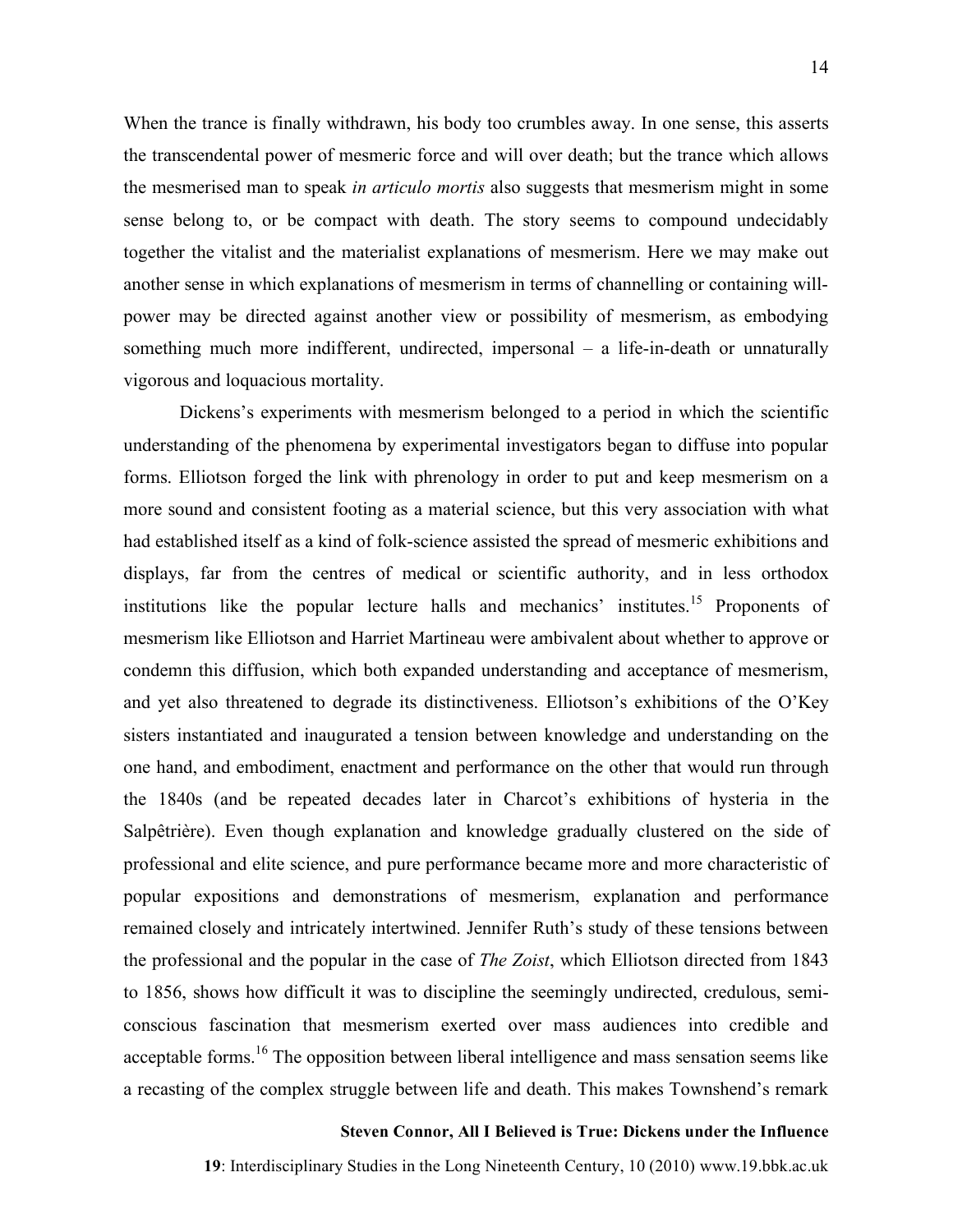When the trance is finally withdrawn, his body too crumbles away. In one sense, this asserts the transcendental power of mesmeric force and will over death; but the trance which allows the mesmerised man to speak *in articulo mortis* also suggests that mesmerism might in some sense belong to, or be compact with death. The story seems to compound undecidably together the vitalist and the materialist explanations of mesmerism. Here we may make out another sense in which explanations of mesmerism in terms of channelling or containing willpower may be directed against another view or possibility of mesmerism, as embodying something much more indifferent, undirected, impersonal – a life-in-death or unnaturally vigorous and loquacious mortality.

Dickens's experiments with mesmerism belonged to a period in which the scientific understanding of the phenomena by experimental investigators began to diffuse into popular forms. Elliotson forged the link with phrenology in order to put and keep mesmerism on a more sound and consistent footing as a material science, but this very association with what had established itself as a kind of folk-science assisted the spread of mesmeric exhibitions and displays, far from the centres of medical or scientific authority, and in less orthodox institutions like the popular lecture halls and mechanics' institutes.<sup>15</sup> Proponents of mesmerism like Elliotson and Harriet Martineau were ambivalent about whether to approve or condemn this diffusion, which both expanded understanding and acceptance of mesmerism, and yet also threatened to degrade its distinctiveness. Elliotson's exhibitions of the O'Key sisters instantiated and inaugurated a tension between knowledge and understanding on the one hand, and embodiment, enactment and performance on the other that would run through the 1840s (and be repeated decades later in Charcot's exhibitions of hysteria in the Salpêtrière). Even though explanation and knowledge gradually clustered on the side of professional and elite science, and pure performance became more and more characteristic of popular expositions and demonstrations of mesmerism, explanation and performance remained closely and intricately intertwined. Jennifer Ruth's study of these tensions between the professional and the popular in the case of *The Zoist*, which Elliotson directed from 1843 to 1856, shows how difficult it was to discipline the seemingly undirected, credulous, semiconscious fascination that mesmerism exerted over mass audiences into credible and acceptable forms.<sup>16</sup> The opposition between liberal intelligence and mass sensation seems like a recasting of the complex struggle between life and death. This makes Townshend's remark

### **Steven Connor, All I Believed is True: Dickens under the Influence**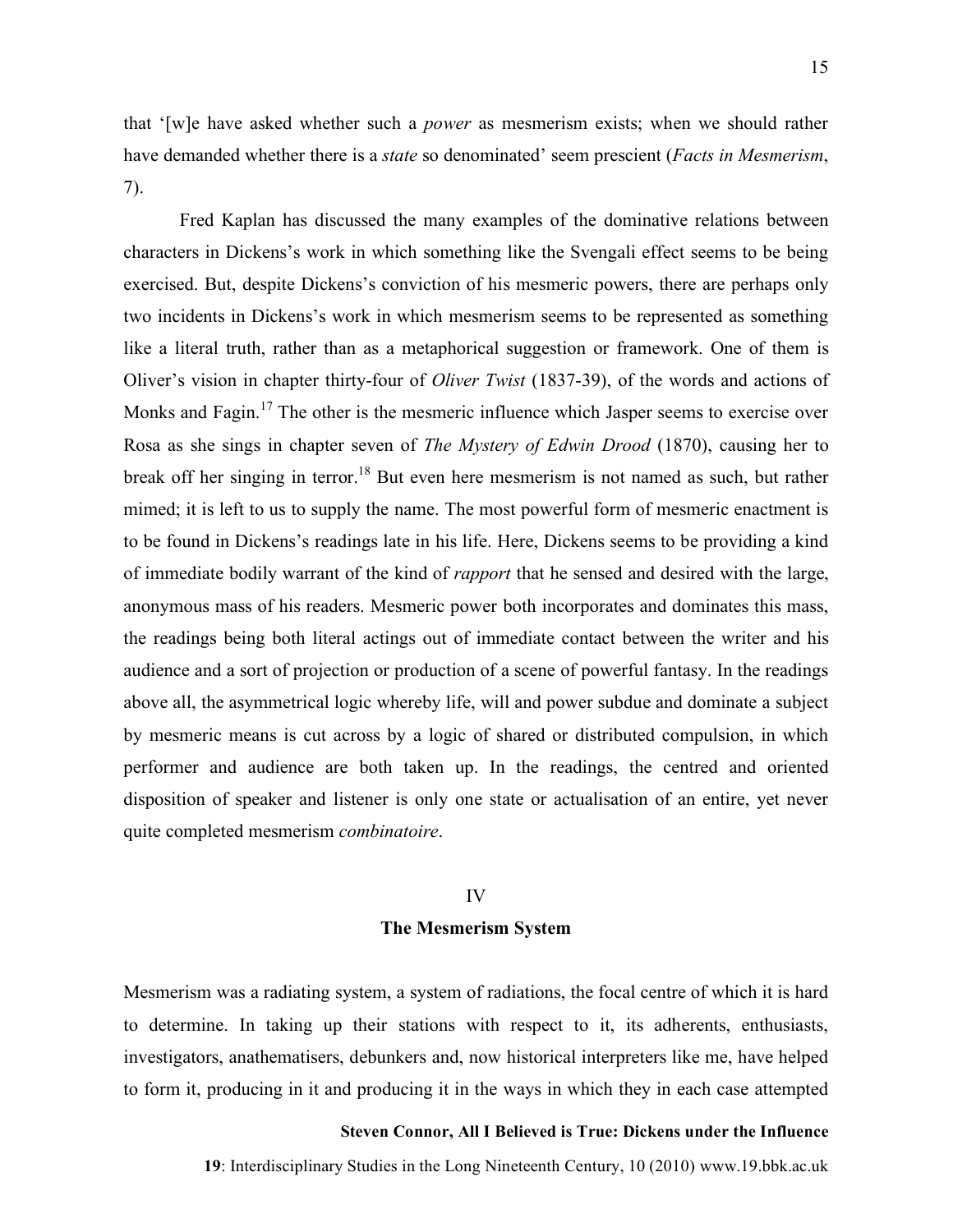that '[w]e have asked whether such a *power* as mesmerism exists; when we should rather have demanded whether there is a *state* so denominated' seem prescient (*Facts in Mesmerism*, 7).

Fred Kaplan has discussed the many examples of the dominative relations between characters in Dickens's work in which something like the Svengali effect seems to be being exercised. But, despite Dickens's conviction of his mesmeric powers, there are perhaps only two incidents in Dickens's work in which mesmerism seems to be represented as something like a literal truth, rather than as a metaphorical suggestion or framework. One of them is Oliver's vision in chapter thirty-four of *Oliver Twist* (1837-39), of the words and actions of Monks and Fagin.<sup>17</sup> The other is the mesmeric influence which Jasper seems to exercise over Rosa as she sings in chapter seven of *The Mystery of Edwin Drood* (1870), causing her to break off her singing in terror.<sup>18</sup> But even here mesmerism is not named as such, but rather mimed; it is left to us to supply the name. The most powerful form of mesmeric enactment is to be found in Dickens's readings late in his life. Here, Dickens seems to be providing a kind of immediate bodily warrant of the kind of *rapport* that he sensed and desired with the large, anonymous mass of his readers. Mesmeric power both incorporates and dominates this mass, the readings being both literal actings out of immediate contact between the writer and his audience and a sort of projection or production of a scene of powerful fantasy. In the readings above all, the asymmetrical logic whereby life, will and power subdue and dominate a subject by mesmeric means is cut across by a logic of shared or distributed compulsion, in which performer and audience are both taken up. In the readings, the centred and oriented disposition of speaker and listener is only one state or actualisation of an entire, yet never quite completed mesmerism *combinatoire*.

#### IV

### **The Mesmerism System**

Mesmerism was a radiating system, a system of radiations, the focal centre of which it is hard to determine. In taking up their stations with respect to it, its adherents, enthusiasts, investigators, anathematisers, debunkers and, now historical interpreters like me, have helped to form it, producing in it and producing it in the ways in which they in each case attempted

### **Steven Connor, All I Believed is True: Dickens under the Influence**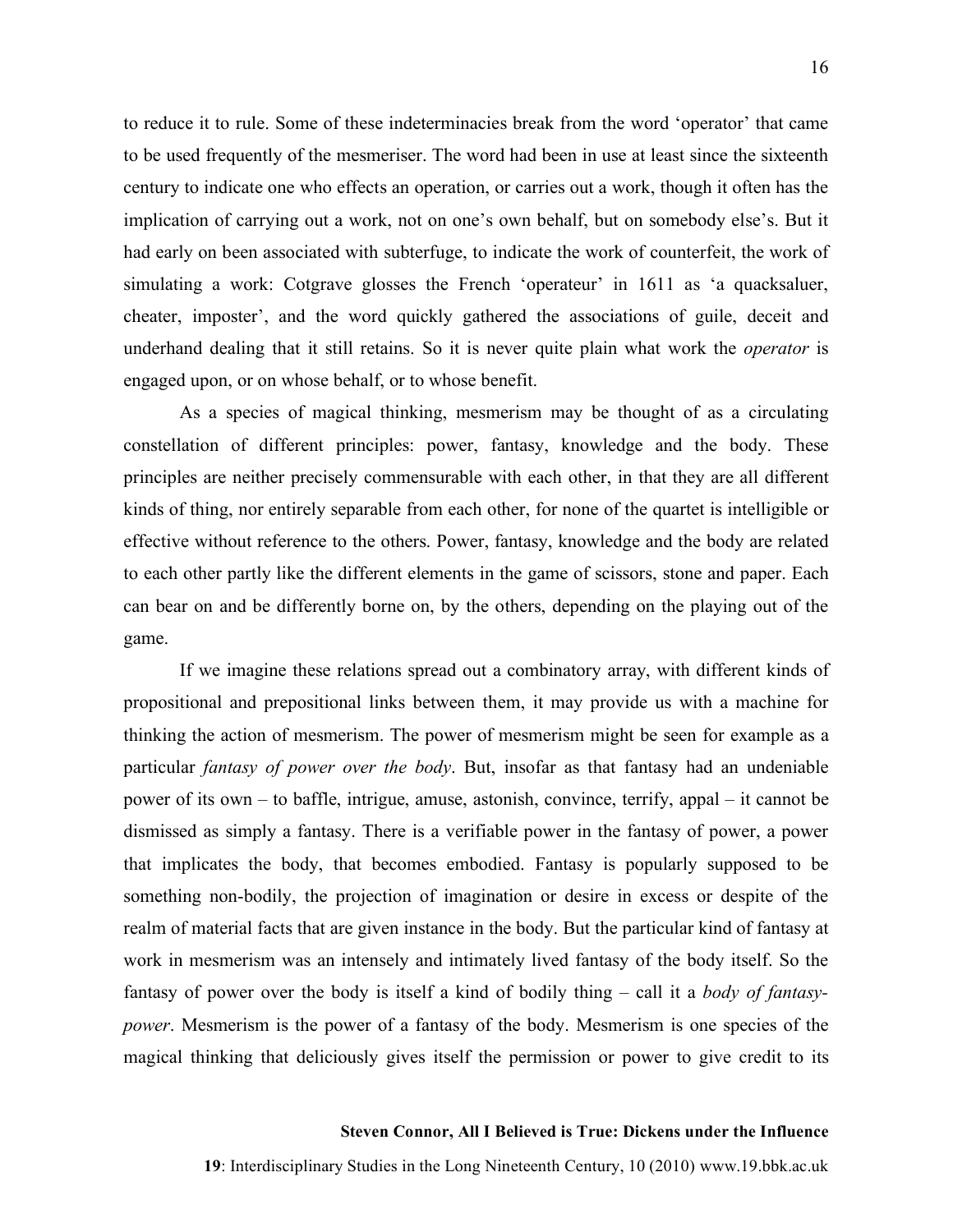to reduce it to rule. Some of these indeterminacies break from the word 'operator' that came to be used frequently of the mesmeriser. The word had been in use at least since the sixteenth century to indicate one who effects an operation, or carries out a work, though it often has the implication of carrying out a work, not on one's own behalf, but on somebody else's. But it had early on been associated with subterfuge, to indicate the work of counterfeit, the work of simulating a work: Cotgrave glosses the French 'operateur' in 1611 as 'a quacksaluer, cheater, imposter', and the word quickly gathered the associations of guile, deceit and underhand dealing that it still retains. So it is never quite plain what work the *operator* is engaged upon, or on whose behalf, or to whose benefit.

As a species of magical thinking, mesmerism may be thought of as a circulating constellation of different principles: power, fantasy, knowledge and the body. These principles are neither precisely commensurable with each other, in that they are all different kinds of thing, nor entirely separable from each other, for none of the quartet is intelligible or effective without reference to the others. Power, fantasy, knowledge and the body are related to each other partly like the different elements in the game of scissors, stone and paper. Each can bear on and be differently borne on, by the others, depending on the playing out of the game.

If we imagine these relations spread out a combinatory array, with different kinds of propositional and prepositional links between them, it may provide us with a machine for thinking the action of mesmerism. The power of mesmerism might be seen for example as a particular *fantasy of power over the body*. But, insofar as that fantasy had an undeniable power of its own – to baffle, intrigue, amuse, astonish, convince, terrify, appal – it cannot be dismissed as simply a fantasy. There is a verifiable power in the fantasy of power, a power that implicates the body, that becomes embodied. Fantasy is popularly supposed to be something non-bodily, the projection of imagination or desire in excess or despite of the realm of material facts that are given instance in the body. But the particular kind of fantasy at work in mesmerism was an intensely and intimately lived fantasy of the body itself. So the fantasy of power over the body is itself a kind of bodily thing – call it a *body of fantasypower*. Mesmerism is the power of a fantasy of the body. Mesmerism is one species of the magical thinking that deliciously gives itself the permission or power to give credit to its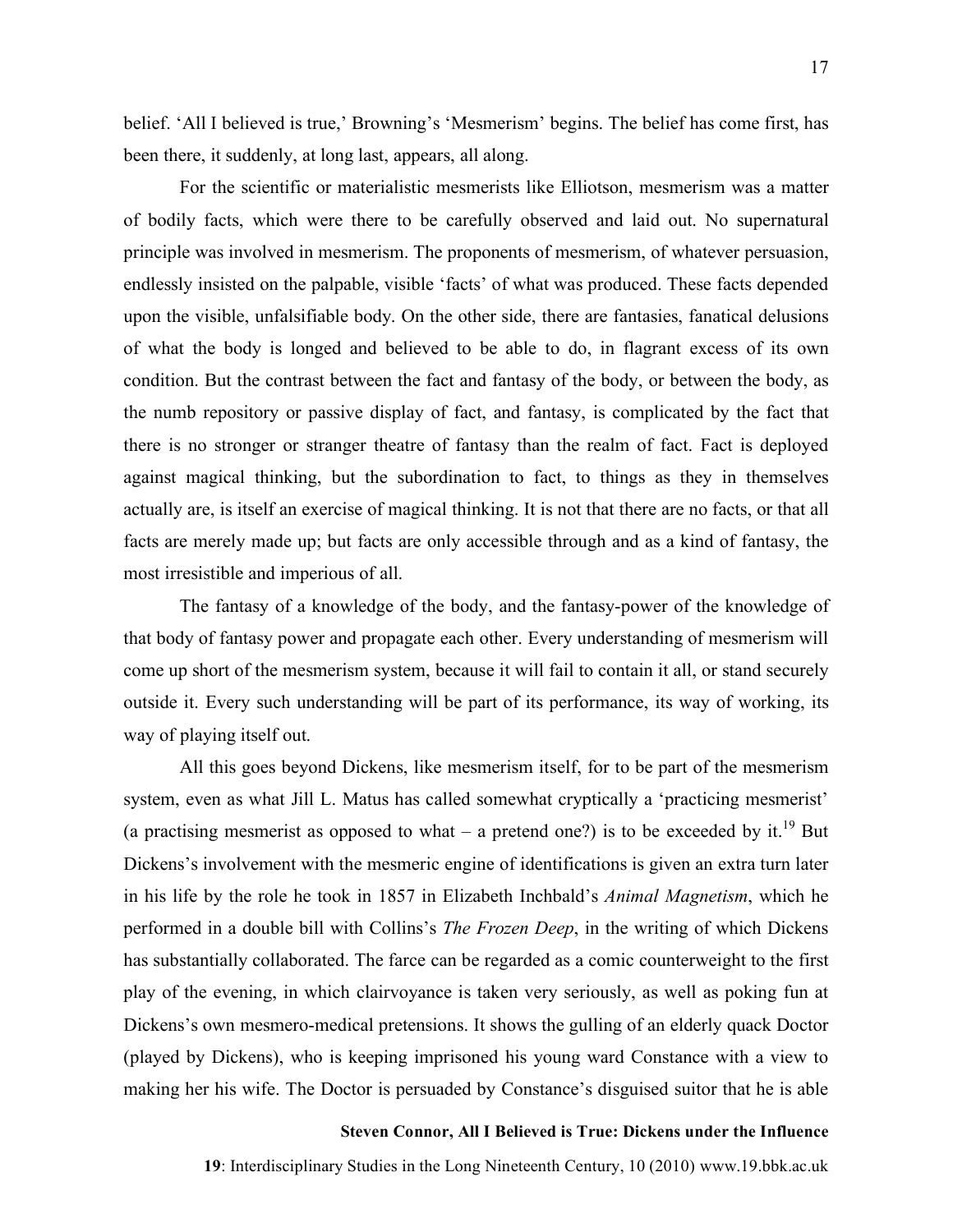belief. 'All I believed is true,' Browning's 'Mesmerism' begins. The belief has come first, has been there, it suddenly, at long last, appears, all along.

For the scientific or materialistic mesmerists like Elliotson, mesmerism was a matter of bodily facts, which were there to be carefully observed and laid out. No supernatural principle was involved in mesmerism. The proponents of mesmerism, of whatever persuasion, endlessly insisted on the palpable, visible 'facts' of what was produced. These facts depended upon the visible, unfalsifiable body. On the other side, there are fantasies, fanatical delusions of what the body is longed and believed to be able to do, in flagrant excess of its own condition. But the contrast between the fact and fantasy of the body, or between the body, as the numb repository or passive display of fact, and fantasy, is complicated by the fact that there is no stronger or stranger theatre of fantasy than the realm of fact. Fact is deployed against magical thinking, but the subordination to fact, to things as they in themselves actually are, is itself an exercise of magical thinking. It is not that there are no facts, or that all facts are merely made up; but facts are only accessible through and as a kind of fantasy, the most irresistible and imperious of all.

The fantasy of a knowledge of the body, and the fantasy-power of the knowledge of that body of fantasy power and propagate each other. Every understanding of mesmerism will come up short of the mesmerism system, because it will fail to contain it all, or stand securely outside it. Every such understanding will be part of its performance, its way of working, its way of playing itself out.

All this goes beyond Dickens, like mesmerism itself, for to be part of the mesmerism system, even as what Jill L. Matus has called somewhat cryptically a 'practicing mesmerist' (a practising mesmerist as opposed to what – a pretend one?) is to be exceeded by it.<sup>19</sup> But Dickens's involvement with the mesmeric engine of identifications is given an extra turn later in his life by the role he took in 1857 in Elizabeth Inchbald's *Animal Magnetism*, which he performed in a double bill with Collins's *The Frozen Deep*, in the writing of which Dickens has substantially collaborated. The farce can be regarded as a comic counterweight to the first play of the evening, in which clairvoyance is taken very seriously, as well as poking fun at Dickens's own mesmero-medical pretensions. It shows the gulling of an elderly quack Doctor (played by Dickens), who is keeping imprisoned his young ward Constance with a view to making her his wife. The Doctor is persuaded by Constance's disguised suitor that he is able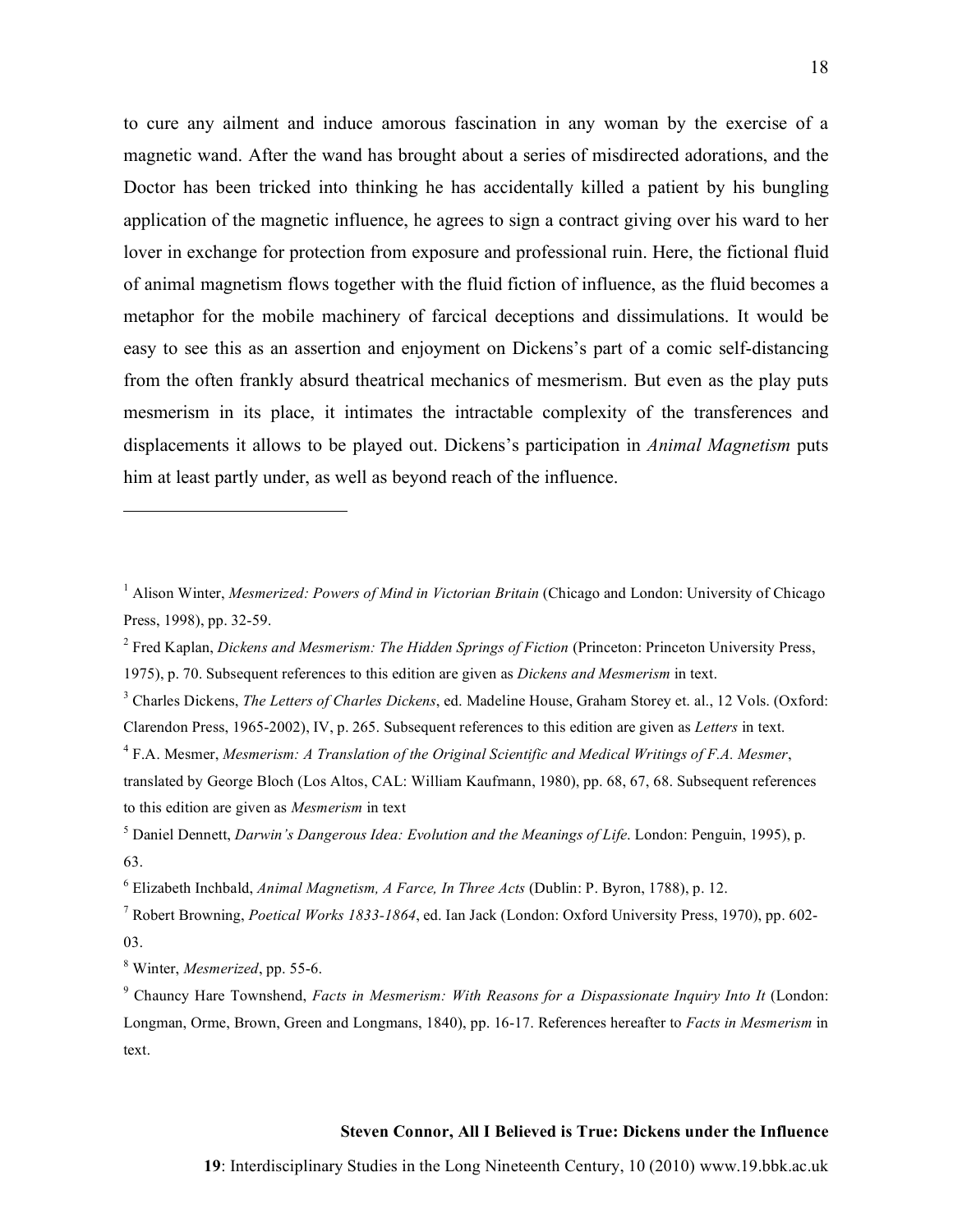to cure any ailment and induce amorous fascination in any woman by the exercise of a magnetic wand. After the wand has brought about a series of misdirected adorations, and the Doctor has been tricked into thinking he has accidentally killed a patient by his bungling application of the magnetic influence, he agrees to sign a contract giving over his ward to her lover in exchange for protection from exposure and professional ruin. Here, the fictional fluid of animal magnetism flows together with the fluid fiction of influence, as the fluid becomes a metaphor for the mobile machinery of farcical deceptions and dissimulations. It would be easy to see this as an assertion and enjoyment on Dickens's part of a comic self-distancing from the often frankly absurd theatrical mechanics of mesmerism. But even as the play puts mesmerism in its place, it intimates the intractable complexity of the transferences and displacements it allows to be played out. Dickens's participation in *Animal Magnetism* puts him at least partly under, as well as beyond reach of the influence.

<u>.</u>

# **Steven Connor, All I Believed is True: Dickens under the Influence**

<sup>1</sup> Alison Winter, *Mesmerized: Powers of Mind in Victorian Britain* (Chicago and London: University of Chicago Press, 1998), pp. 32-59.

<sup>2</sup> Fred Kaplan, *Dickens and Mesmerism: The Hidden Springs of Fiction* (Princeton: Princeton University Press,

<sup>1975),</sup> p. 70. Subsequent references to this edition are given as *Dickens and Mesmerism* in text.

<sup>3</sup> Charles Dickens, *The Letters of Charles Dickens*, ed. Madeline House, Graham Storey et. al., 12 Vols. (Oxford: Clarendon Press, 1965-2002), IV, p. 265. Subsequent references to this edition are given as *Letters* in text.

<sup>4</sup> F.A. Mesmer, *Mesmerism: A Translation of the Original Scientific and Medical Writings of F.A. Mesmer*,

translated by George Bloch (Los Altos, CAL: William Kaufmann, 1980), pp. 68, 67, 68. Subsequent references to this edition are given as *Mesmerism* in text

<sup>5</sup> Daniel Dennett, *Darwin's Dangerous Idea: Evolution and the Meanings of Life*. London: Penguin, 1995), p. 63.

<sup>6</sup> Elizabeth Inchbald, *Animal Magnetism, A Farce, In Three Acts* (Dublin: P. Byron, 1788), p. 12.

<sup>7</sup> Robert Browning, *Poetical Works 1833-1864*, ed. Ian Jack (London: Oxford University Press, 1970), pp. 602- 03.

<sup>8</sup> Winter, *Mesmerized*, pp. 55-6.

<sup>9</sup> Chauncy Hare Townshend, *Facts in Mesmerism: With Reasons for a Dispassionate Inquiry Into It* (London: Longman, Orme, Brown, Green and Longmans, 1840), pp. 16-17. References hereafter to *Facts in Mesmerism* in text.